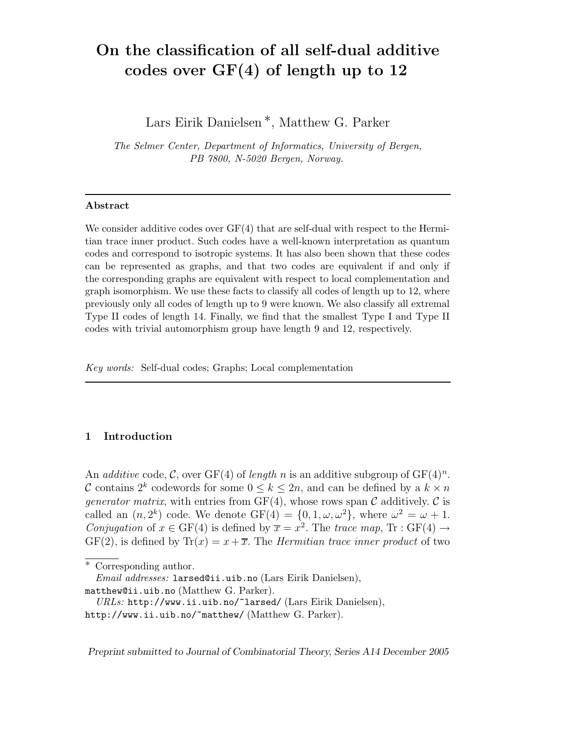# On the classification of all self-dual additive codes over  $GF(4)$  of length up to 12

Lars Eirik Danielsen ∗, Matthew G. Parker

The Selmer Center, Department of Informatics, University of Bergen, PB 7800, N-5020 Bergen, Norway.

#### Abstract

We consider additive codes over  $GF(4)$  that are self-dual with respect to the Hermitian trace inner product. Such codes have a well-known interpretation as quantum codes and correspond to isotropic systems. It has also been shown that these codes can be represented as graphs, and that two codes are equivalent if and only if the corresponding graphs are equivalent with respect to local complementation and graph isomorphism. We use these facts to classify all codes of length up to 12, where previously only all codes of length up to 9 were known. We also classify all extremal Type II codes of length 14. Finally, we find that the smallest Type I and Type II codes with trivial automorphism group have length 9 and 12, respectively.

Key words: Self-dual codes; Graphs; Local complementation

## 1 Introduction

An *additive* code, C, over GF(4) of *length* n is an additive subgroup of  $GF(4)^n$ . C contains  $2^k$  codewords for some  $0 \leq k \leq 2n$ , and can be defined by a  $k \times n$ *generator matrix*, with entries from GF(4), whose rows span  $\mathcal C$  additively.  $\mathcal C$  is called an  $(n, 2^k)$  code. We denote  $GF(4) = \{0, 1, \omega, \omega^2\}$ , where  $\omega^2 = \omega + 1$ . Conjugation of  $x \in \text{GF}(4)$  is defined by  $\overline{x} = x^2$ . The trace map, Tr :  $\text{GF}(4) \rightarrow$  $GF(2)$ , is defined by  $Tr(x) = x + \overline{x}$ . The *Hermitian trace inner product* of two

Preprint submitted to Journal of Combinatorial Theory, Series A14 December 2005

<sup>∗</sup> Corresponding author.

Email addresses: larsed@ii.uib.no (Lars Eirik Danielsen),

matthew@ii.uib.no (Matthew G. Parker).

URLs: http://www.ii.uib.no/~larsed/ (Lars Eirik Danielsen), http://www.ii.uib.no/~matthew/ (Matthew G. Parker).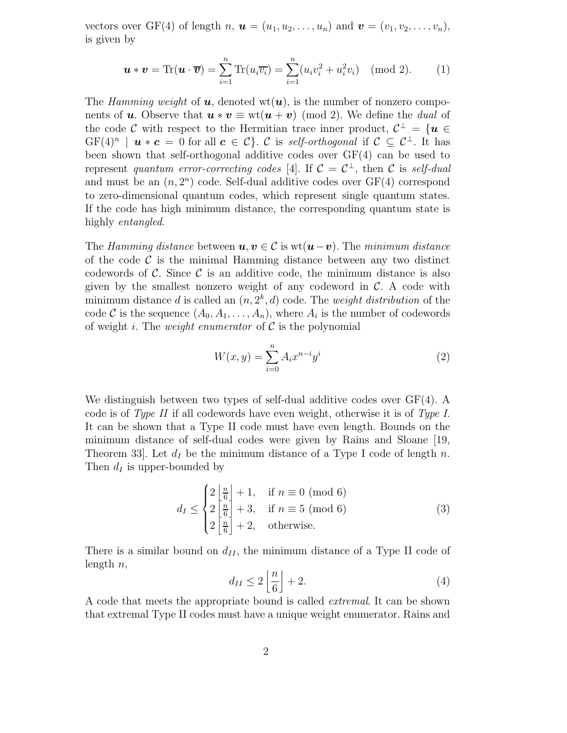vectors over GF(4) of length n,  $\mathbf{u} = (u_1, u_2, \dots, u_n)$  and  $\mathbf{v} = (v_1, v_2, \dots, v_n)$ , is given by

$$
\mathbf{u} * \mathbf{v} = \text{Tr}(\mathbf{u} \cdot \overline{\mathbf{v}}) = \sum_{i=1}^{n} \text{Tr}(u_i \overline{v_i}) = \sum_{i=1}^{n} (u_i v_i^2 + u_i^2 v_i) \pmod{2}.
$$
 (1)

The Hamming weight of **u**, denoted  $wt(u)$ , is the number of nonzero components of **u**. Observe that  $u * v \equiv \text{wt}(u + v) \pmod{2}$ . We define the *dual* of the code C with respect to the Hermitian trace inner product,  $\mathcal{C}^{\perp} = \{ \boldsymbol{u} \in$  $GF(4)^n$  |  $u * c = 0$  for all  $c \in C$ }. C is self-orthogonal if  $C \subseteq C^{\perp}$ . It has been shown that self-orthogonal additive codes over GF(4) can be used to represent quantum error-correcting codes [4]. If  $C = C^{\perp}$ , then C is self-dual and must be an  $(n, 2<sup>n</sup>)$  code. Self-dual additive codes over  $GF(4)$  correspond to zero-dimensional quantum codes, which represent single quantum states. If the code has high minimum distance, the corresponding quantum state is highly entangled.

The Hamming distance between  $u, v \in C$  is wt $(u-v)$ . The minimum distance of the code  $\mathcal C$  is the minimal Hamming distance between any two distinct codewords of  $\mathcal C$ . Since  $\mathcal C$  is an additive code, the minimum distance is also given by the smallest nonzero weight of any codeword in  $\mathcal{C}$ . A code with minimum distance d is called an  $(n, 2<sup>k</sup>, d)$  code. The *weight distribution* of the code  $\mathcal C$  is the sequence  $(A_0, A_1, \ldots, A_n)$ , where  $A_i$  is the number of codewords of weight i. The *weight enumerator* of  $\mathcal C$  is the polynomial

$$
W(x, y) = \sum_{i=0}^{n} A_i x^{n-i} y^i
$$
 (2)

We distinguish between two types of self-dual additive codes over GF(4). A code is of Type II if all codewords have even weight, otherwise it is of Type I. It can be shown that a Type II code must have even length. Bounds on the minimum distance of self-dual codes were given by Rains and Sloane [19, Theorem 33. Let  $d_I$  be the minimum distance of a Type I code of length n. Then  $d_I$  is upper-bounded by

$$
d_I \le \begin{cases} 2\left\lfloor \frac{n}{6} \right\rfloor + 1, & \text{if } n \equiv 0 \pmod{6} \\ 2\left\lfloor \frac{n}{6} \right\rfloor + 3, & \text{if } n \equiv 5 \pmod{6} \\ 2\left\lfloor \frac{n}{6} \right\rfloor + 2, & \text{otherwise.} \end{cases}
$$
(3)

There is a similar bound on  $d_{II}$ , the minimum distance of a Type II code of length  $n$ ,

$$
d_{II} \le 2\left\lfloor \frac{n}{6} \right\rfloor + 2. \tag{4}
$$

A code that meets the appropriate bound is called extremal. It can be shown that extremal Type II codes must have a unique weight enumerator. Rains and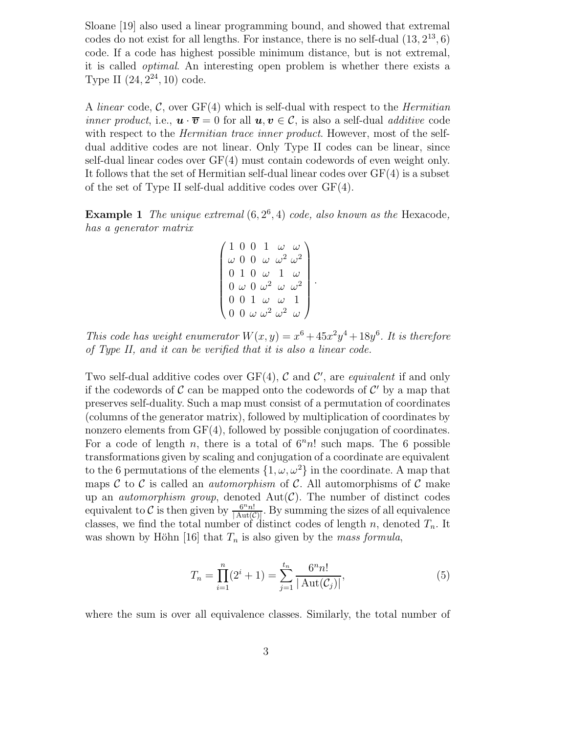Sloane [19] also used a linear programming bound, and showed that extremal codes do not exist for all lengths. For instance, there is no self-dual  $(13, 2^{13}, 6)$ code. If a code has highest possible minimum distance, but is not extremal, it is called optimal. An interesting open problem is whether there exists a Type II  $(24, 2^{24}, 10)$  code.

A linear code, C, over  $GF(4)$  which is self-dual with respect to the *Hermitian inner product*, i.e.,  $\mathbf{u} \cdot \overline{\mathbf{v}} = 0$  for all  $\mathbf{u}, \mathbf{v} \in \mathcal{C}$ , is also a self-dual *additive* code with respect to the *Hermitian trace inner product*. However, most of the selfdual additive codes are not linear. Only Type II codes can be linear, since self-dual linear codes over GF(4) must contain codewords of even weight only. It follows that the set of Hermitian self-dual linear codes over  $GF(4)$  is a subset of the set of Type II self-dual additive codes over GF(4).

**Example 1** The unique extremal  $(6, 2^6, 4)$  code, also known as the Hexacode, has a generator matrix

$$
\begin{pmatrix}\n1 & 0 & 0 & 1 & \omega & \omega \\
\omega & 0 & 0 & \omega & \omega^2 & \omega^2 \\
0 & 1 & 0 & \omega & 1 & \omega \\
0 & \omega & 0 & \omega^2 & \omega & \omega^2 \\
0 & 0 & 1 & \omega & \omega & 1 \\
0 & 0 & \omega & \omega^2 & \omega^2 & \omega\n\end{pmatrix}.
$$

This code has weight enumerator  $W(x, y) = x^6 + 45x^2y^4 + 18y^6$ . It is therefore of Type II, and it can be verified that it is also a linear code.

Two self-dual additive codes over  $GF(4)$ ,  $C$  and  $C'$ , are *equivalent* if and only if the codewords of  $\mathcal C$  can be mapped onto the codewords of  $\mathcal C'$  by a map that preserves self-duality. Such a map must consist of a permutation of coordinates (columns of the generator matrix), followed by multiplication of coordinates by nonzero elements from GF(4), followed by possible conjugation of coordinates. For a code of length n, there is a total of  $6<sup>n</sup>n!$  such maps. The 6 possible transformations given by scaling and conjugation of a coordinate are equivalent to the 6 permutations of the elements  $\{1, \omega, \omega^2\}$  in the coordinate. A map that maps  $\mathcal C$  to  $\mathcal C$  is called an *automorphism* of  $\mathcal C$ . All automorphisms of  $\mathcal C$  make up an *automorphism group*, denoted  $Aut(\mathcal{C})$ . The number of distinct codes equivalent to C is then given by  $\frac{6^n n!}{\vert \text{Aut}(6)}$  $\frac{6^n n!}{|\mathrm{Aut}(\mathcal{C})|}$ . By summing the sizes of all equivalence classes, we find the total number of distinct codes of length n, denoted  $T_n$ . It was shown by Höhn [16] that  $T_n$  is also given by the *mass formula*,

$$
T_n = \prod_{i=1}^n (2^i + 1) = \sum_{j=1}^{t_n} \frac{6^n n!}{|\operatorname{Aut}(\mathcal{C}_j)|},\tag{5}
$$

where the sum is over all equivalence classes. Similarly, the total number of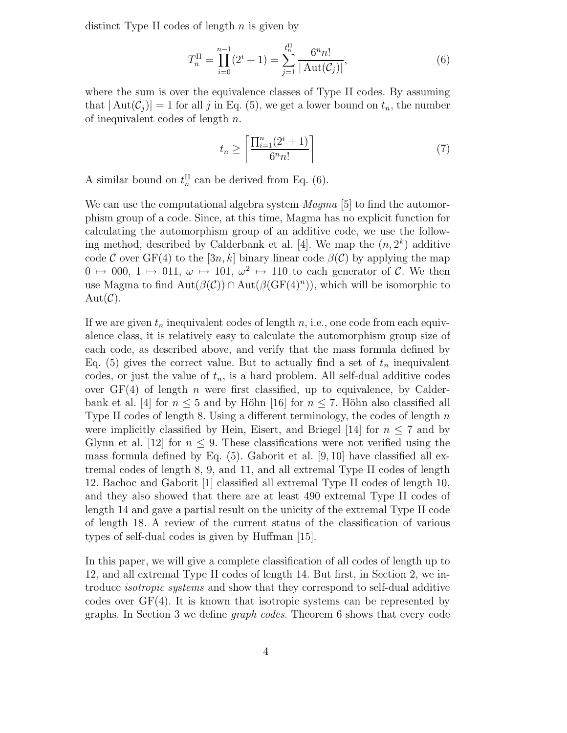distinct Type II codes of length  $n$  is given by

$$
T_n^{\text{II}} = \prod_{i=0}^{n-1} (2^i + 1) = \sum_{j=1}^{t_n^{\text{II}}} \frac{6^n n!}{|\operatorname{Aut}(\mathcal{C}_j)|},\tag{6}
$$

where the sum is over the equivalence classes of Type II codes. By assuming that  $|\text{Aut}(\mathcal{C}_i)| = 1$  for all j in Eq. (5), we get a lower bound on  $t_n$ , the number of inequivalent codes of length  $n$ .

$$
t_n \ge \left\lceil \frac{\prod_{i=1}^n (2^i + 1)}{6^n n!} \right\rceil \tag{7}
$$

A similar bound on  $t_n^{\text{II}}$  can be derived from Eq. (6).

We can use the computational algebra system  $Magma$  [5] to find the automorphism group of a code. Since, at this time, Magma has no explicit function for calculating the automorphism group of an additive code, we use the following method, described by Calderbank et al. [4]. We map the  $(n, 2<sup>k</sup>)$  additive code C over GF(4) to the [3n, k] binary linear code  $\beta(\mathcal{C})$  by applying the map  $0 \mapsto 000, 1 \mapsto 011, \omega \mapsto 101, \omega^2 \mapsto 110$  to each generator of C. We then use Magma to find  $Aut(\beta(\mathcal{C})) \cap Aut(\beta(\mathrm{GF}(4)^n))$ , which will be isomorphic to  $Aut(\mathcal{C}).$ 

If we are given  $t_n$  inequivalent codes of length n, i.e., one code from each equivalence class, it is relatively easy to calculate the automorphism group size of each code, as described above, and verify that the mass formula defined by Eq. (5) gives the correct value. But to actually find a set of  $t_n$  inequivalent codes, or just the value of  $t_n$ , is a hard problem. All self-dual additive codes over  $GF(4)$  of length n were first classified, up to equivalence, by Calderbank et al. [4] for  $n \leq 5$  and by Höhn [16] for  $n \leq 7$ . Höhn also classified all Type II codes of length 8. Using a different terminology, the codes of length  $n$ were implicitly classified by Hein, Eisert, and Briegel [14] for  $n \leq 7$  and by Glynn et al. [12] for  $n \leq 9$ . These classifications were not verified using the mass formula defined by Eq.  $(5)$ . Gaborit et al.  $[9, 10]$  have classified all extremal codes of length 8, 9, and 11, and all extremal Type II codes of length 12. Bachoc and Gaborit [1] classified all extremal Type II codes of length 10, and they also showed that there are at least 490 extremal Type II codes of length 14 and gave a partial result on the unicity of the extremal Type II code of length 18. A review of the current status of the classification of various types of self-dual codes is given by Huffman [15].

In this paper, we will give a complete classification of all codes of length up to 12, and all extremal Type II codes of length 14. But first, in Section 2, we introduce isotropic systems and show that they correspond to self-dual additive codes over  $GF(4)$ . It is known that isotropic systems can be represented by graphs. In Section 3 we define graph codes. Theorem 6 shows that every code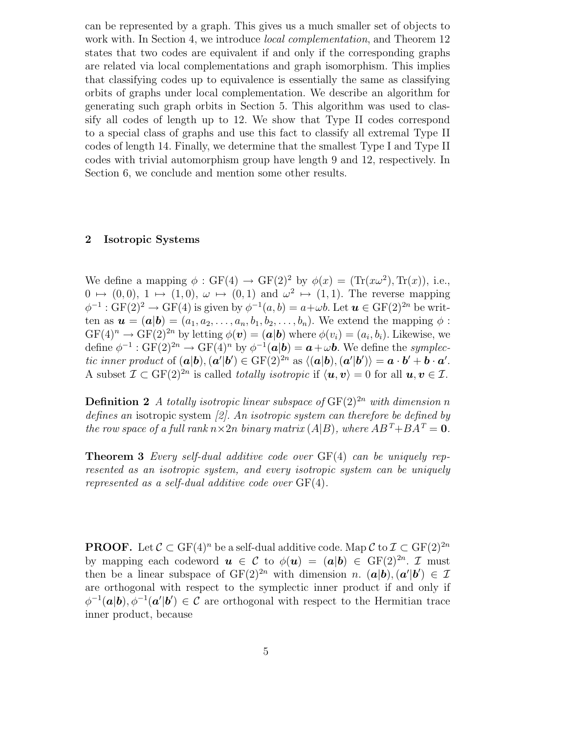can be represented by a graph. This gives us a much smaller set of objects to work with. In Section 4, we introduce *local complementation*, and Theorem 12 states that two codes are equivalent if and only if the corresponding graphs are related via local complementations and graph isomorphism. This implies that classifying codes up to equivalence is essentially the same as classifying orbits of graphs under local complementation. We describe an algorithm for generating such graph orbits in Section 5. This algorithm was used to classify all codes of length up to 12. We show that Type II codes correspond to a special class of graphs and use this fact to classify all extremal Type II codes of length 14. Finally, we determine that the smallest Type I and Type II codes with trivial automorphism group have length 9 and 12, respectively. In Section 6, we conclude and mention some other results.

## 2 Isotropic Systems

We define a mapping  $\phi : GF(4) \to GF(2)^2$  by  $\phi(x) = (Tr(x\omega^2), Tr(x))$ , i.e.,  $0 \mapsto (0, 0), 1 \mapsto (1, 0), \omega \mapsto (0, 1)$  and  $\omega^2 \mapsto (1, 1)$ . The reverse mapping  $\phi^{-1}: \text{GF}(2)^2 \to \text{GF}(4)$  is given by  $\phi^{-1}(a, b) = a + \omega b$ . Let  $u \in \text{GF}(2)^{2n}$  be written as  $\mathbf{u} = (\mathbf{a}|\mathbf{b}) = (a_1, a_2, \dots, a_n, b_1, b_2, \dots, b_n)$ . We extend the mapping  $\phi$ :  $GF(4)^n \to GF(2)^{2n}$  by letting  $\phi(v) = (a|b)$  where  $\phi(v_i) = (a_i, b_i)$ . Likewise, we define  $\phi^{-1}: \text{GF}(2)^{2n} \to \text{GF}(4)^n$  by  $\phi^{-1}(\boldsymbol{a}|\boldsymbol{b}) = \boldsymbol{a} + \omega \boldsymbol{b}$ . We define the symplectic inner product of  $(a|b)$ ,  $(a'|b') \in GF(2)^{2n}$  as  $\langle (a|b)$ ,  $(a'|b') \rangle = a \cdot b' + b \cdot a'$ . A subset  $\mathcal{I} \subset \mathrm{GF}(2)^{2n}$  is called *totally isotropic* if  $\langle u, v \rangle = 0$  for all  $u, v \in \mathcal{I}$ .

**Definition 2** A totally isotropic linear subspace of  $GF(2)^{2n}$  with dimension n defines an isotropic system  $[2]$ . An isotropic system can therefore be defined by the row space of a full rank  $n \times 2n$  binary matrix  $(A|B)$ , where  $AB^T + BA^T = 0$ .

**Theorem 3** Every self-dual additive code over  $GF(4)$  can be uniquely represented as an isotropic system, and every isotropic system can be uniquely represented as a self-dual additive code over GF(4).

**PROOF.** Let  $\mathcal{C} \subset \mathrm{GF}(4)^n$  be a self-dual additive code. Map  $\mathcal{C}$  to  $\mathcal{I} \subset \mathrm{GF}(2)^{2n}$ by mapping each codeword  $u \in \mathcal{C}$  to  $\phi(u) = (a|b) \in \mathrm{GF}(2)^{2n}$ . I must then be a linear subspace of  $GF(2)^{2n}$  with dimension n.  $(a|b), (a'|b') \in \mathcal{I}$ are orthogonal with respect to the symplectic inner product if and only if  $\phi^{-1}(\mathbf{a}|\mathbf{b}), \phi^{-1}(\mathbf{a}'|\mathbf{b}') \in \mathcal{C}$  are orthogonal with respect to the Hermitian trace inner product, because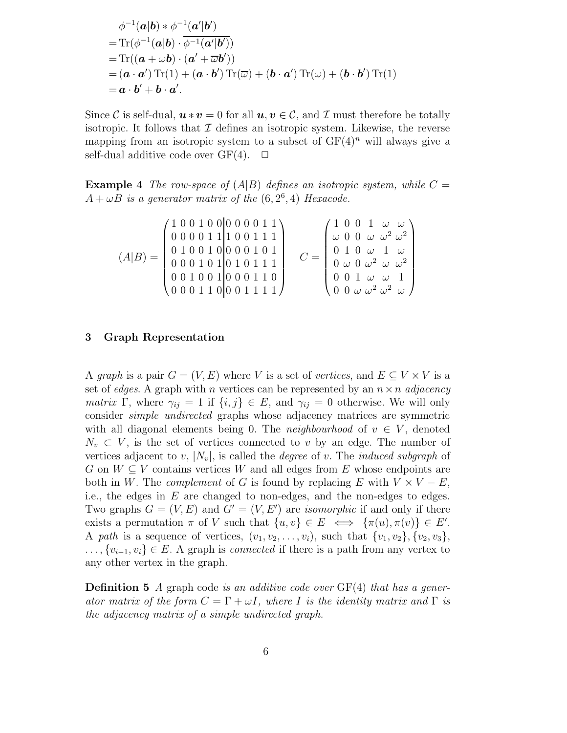$$
\begin{aligned}\n&\phi^{-1}(\mathbf{a}|\mathbf{b}) * \phi^{-1}(\mathbf{a}'|\mathbf{b}') \\
&= \text{Tr}(\phi^{-1}(\mathbf{a}|\mathbf{b}) \cdot \overline{\phi^{-1}(\mathbf{a}'|\mathbf{b}')} ) \\
&= \text{Tr}((\mathbf{a} + \omega \mathbf{b}) \cdot (\mathbf{a}' + \overline{\omega} \mathbf{b}')) \\
&= (\mathbf{a} \cdot \mathbf{a}') \text{Tr}(1) + (\mathbf{a} \cdot \mathbf{b}') \text{Tr}(\overline{\omega}) + (\mathbf{b} \cdot \mathbf{a}') \text{Tr}(\omega) + (\mathbf{b} \cdot \mathbf{b}') \text{Tr}(1) \\
&= \mathbf{a} \cdot \mathbf{b}' + \mathbf{b} \cdot \mathbf{a}'.\n\end{aligned}
$$

Since C is self-dual,  $u * v = 0$  for all  $u, v \in C$ , and T must therefore be totally isotropic. It follows that  $\mathcal I$  defines an isotropic system. Likewise, the reverse mapping from an isotropic system to a subset of  $GF(4)<sup>n</sup>$  will always give a self-dual additive code over  $GF(4)$ .  $\Box$ 

**Example 4** The row-space of  $(A|B)$  defines an isotropic system, while  $C =$  $A + \omega B$  is a generator matrix of the  $(6, 2^6, 4)$  Hexacode.

$$
(A|B) = \begin{pmatrix} 1 & 0 & 0 & 1 & 0 & 0 & 0 & 0 & 0 & 1 & 1 \\ 0 & 0 & 0 & 0 & 0 & 1 & 1 & 1 & 0 & 0 & 1 & 1 \\ 0 & 1 & 0 & 0 & 1 & 0 & 0 & 0 & 1 & 0 & 1 \\ 0 & 0 & 0 & 1 & 0 & 0 & 1 & 0 & 1 & 1 & 1 \\ 0 & 0 & 0 & 1 & 1 & 0 & 0 & 0 & 1 & 1 & 1 \end{pmatrix} \qquad C = \begin{pmatrix} 1 & 0 & 0 & 1 & \omega & \omega \\ \omega & 0 & 0 & \omega & \omega^2 & \omega^2 \\ 0 & 1 & 0 & \omega & 1 & \omega \\ 0 & \omega & 0 & \omega^2 & \omega & \omega^2 \\ 0 & 0 & 1 & \omega & \omega & 1 \\ 0 & 0 & \omega & \omega^2 & \omega^2 & \omega \end{pmatrix}
$$

#### 3 Graph Representation

A graph is a pair  $G = (V, E)$  where V is a set of vertices, and  $E \subseteq V \times V$  is a set of edges. A graph with n vertices can be represented by an  $n \times n$  adjacency matrix Γ, where  $\gamma_{ij} = 1$  if  $\{i, j\} \in E$ , and  $\gamma_{ij} = 0$  otherwise. We will only consider simple undirected graphs whose adjacency matrices are symmetric with all diagonal elements being 0. The *neighbourhood* of  $v \in V$ , denoted  $N_v \subset V$ , is the set of vertices connected to v by an edge. The number of vertices adjacent to v,  $|N_v|$ , is called the *degree* of v. The *induced subgraph* of G on  $W \subseteq V$  contains vertices W and all edges from E whose endpoints are both in W. The *complement* of G is found by replacing E with  $V \times V - E$ , i.e., the edges in  $E$  are changed to non-edges, and the non-edges to edges. Two graphs  $G = (V, E)$  and  $G' = (V, E')$  are *isomorphic* if and only if there exists a permutation  $\pi$  of V such that  $\{u, v\} \in E \iff \{\pi(u), \pi(v)\} \in E'.$ A path is a sequence of vertices,  $(v_1, v_2, \ldots, v_i)$ , such that  $\{v_1, v_2\}$ ,  $\{v_2, v_3\}$ , ...,  $\{v_{i-1}, v_i\}$  ∈ E. A graph is *connected* if there is a path from any vertex to any other vertex in the graph.

**Definition 5** A graph code is an additive code over  $GF(4)$  that has a generator matrix of the form  $C = \Gamma + \omega I$ , where I is the identity matrix and  $\Gamma$  is the adjacency matrix of a simple undirected graph.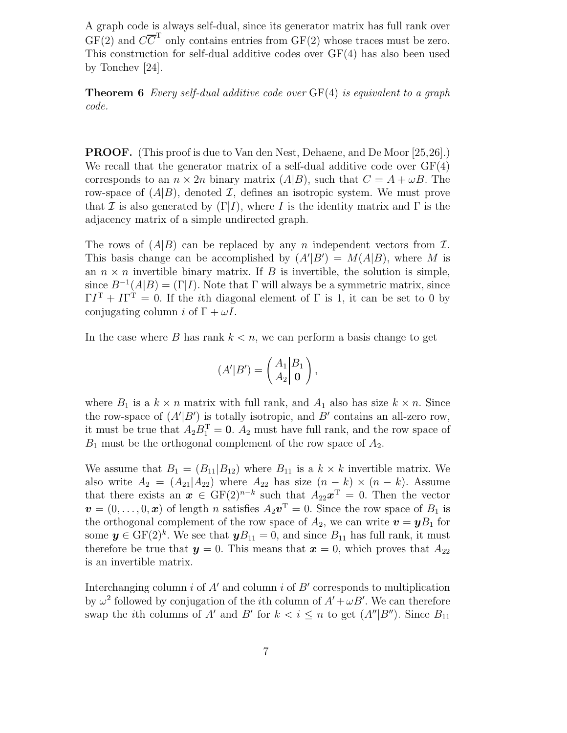A graph code is always self-dual, since its generator matrix has full rank over  $GF(2)$  and  $C\overline{C}^T$  only contains entries from  $GF(2)$  whose traces must be zero. This construction for self-dual additive codes over GF(4) has also been used by Tonchev [24].

**Theorem 6** Every self-dual additive code over  $GF(4)$  is equivalent to a graph code.

PROOF. (This proof is due to Van den Nest, Dehaene, and De Moor [25,26].) We recall that the generator matrix of a self-dual additive code over  $GF(4)$ corresponds to an  $n \times 2n$  binary matrix  $(A|B)$ , such that  $C = A + \omega B$ . The row-space of  $(A|B)$ , denoted  $\mathcal I$ , defines an isotropic system. We must prove that I is also generated by  $(\Gamma | I)$ , where I is the identity matrix and  $\Gamma$  is the adjacency matrix of a simple undirected graph.

The rows of  $(A|B)$  can be replaced by any n independent vectors from  $\mathcal{I}$ . This basis change can be accomplished by  $(A'|B') = M(A|B)$ , where M is an  $n \times n$  invertible binary matrix. If B is invertible, the solution is simple, since  $B^{-1}(A|B) = (\Gamma|I)$ . Note that  $\Gamma$  will always be a symmetric matrix, since  $\Gamma I^{\mathrm{T}} + I \Gamma^{\mathrm{T}} = 0$ . If the *i*th diagonal element of  $\Gamma$  is 1, it can be set to 0 by conjugating column i of  $\Gamma + \omega I$ .

In the case where B has rank  $k < n$ , we can perform a basis change to get

$$
(A'|B') = \begin{pmatrix} A_1 | B_1 \\ A_2 | \mathbf{0} \end{pmatrix},
$$

where  $B_1$  is a  $k \times n$  matrix with full rank, and  $A_1$  also has size  $k \times n$ . Since the row-space of  $(A'|B')$  is totally isotropic, and  $B'$  contains an all-zero row, it must be true that  $A_2B_1^{\mathrm{T}} = \mathbf{0}$ .  $A_2$  must have full rank, and the row space of  $B_1$  must be the orthogonal complement of the row space of  $A_2$ .

We assume that  $B_1 = (B_{11}|B_{12})$  where  $B_{11}$  is a  $k \times k$  invertible matrix. We also write  $A_2 = (A_{21} | A_{22})$  where  $A_{22}$  has size  $(n - k) \times (n - k)$ . Assume that there exists an  $x \in \mathrm{GF}(2)^{n-k}$  such that  $A_{22}x^{\mathrm{T}} = 0$ . Then the vector  $\boldsymbol{v} = (0, \ldots, 0, \boldsymbol{x})$  of length n satisfies  $A_2 \boldsymbol{v}^{\mathrm{T}} = 0$ . Since the row space of  $B_1$  is the orthogonal complement of the row space of  $A_2$ , we can write  $\mathbf{v} = \mathbf{y}B_1$  for some  $y \in \mathrm{GF}(2)^k$ . We see that  $yB_{11} = 0$ , and since  $B_{11}$  has full rank, it must therefore be true that  $y = 0$ . This means that  $x = 0$ , which proves that  $A_{22}$ is an invertible matrix.

Interchanging column  $i$  of  $A'$  and column  $i$  of  $B'$  corresponds to multiplication by  $\omega^2$  followed by conjugation of the *i*th column of  $A' + \omega B'$ . We can therefore swap the *i*th columns of A' and B' for  $k < i \leq n$  to get  $(A''|B'')$ . Since  $B_{11}$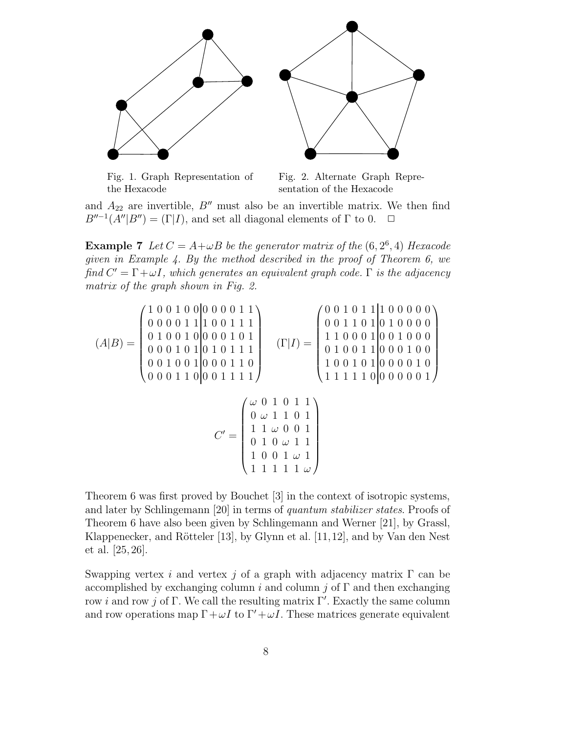

Fig. 1. Graph Representation of the Hexacode

Fig. 2. Alternate Graph Representation of the Hexacode

and  $A_{22}$  are invertible,  $B''$  must also be an invertible matrix. We then find  $B''^{-1}(A''|B'') = (\Gamma|I)$ , and set all diagonal elements of  $\Gamma$  to 0.  $\Box$ 

**Example 7** Let  $C = A + \omega B$  be the generator matrix of the  $(6, 2^6, 4)$  Hexacode given in Example 4. By the method described in the proof of Theorem 6, we find  $C' = \Gamma + \omega I$ , which generates an equivalent graph code.  $\Gamma$  is the adjacency matrix of the graph shown in Fig. 2.

$$
(A|B) = \begin{pmatrix} 1 & 0 & 0 & 1 & 0 & 0 & 0 & 0 & 0 & 1 & 1 \\ 0 & 0 & 0 & 0 & 1 & 1 & 1 & 0 & 0 & 1 & 1 \\ 0 & 1 & 0 & 0 & 1 & 0 & 0 & 0 & 0 & 1 & 0 \\ 0 & 0 & 0 & 1 & 0 & 1 & 0 & 1 & 1 & 1 \\ 0 & 0 & 0 & 1 & 1 & 0 & 0 & 0 & 1 & 1 \\ 0 & 0 & 0 & 1 & 1 & 0 & 0 & 0 & 1 & 1 \end{pmatrix} \qquad (\Gamma|I) = \begin{pmatrix} 0 & 0 & 1 & 0 & 1 & 1 & 1 & 0 & 0 & 0 & 0 & 0 \\ 0 & 0 & 1 & 1 & 0 & 1 & 0 & 1 & 0 & 0 & 0 & 0 \\ 1 & 1 & 0 & 0 & 0 & 1 & 1 & 0 & 0 & 0 & 0 & 0 \\ 1 & 0 & 0 & 1 & 0 & 1 & 0 & 0 & 0 & 0 & 0 & 0 \\ 1 & 1 & 1 & 1 & 1 & 0 & 0 & 0 & 0 & 0 & 1 \end{pmatrix}
$$

$$
C' = \begin{pmatrix} \omega & 0 & 1 & 0 & 1 & 1 \\ 0 & \omega & 1 & 1 & 0 & 1 \\ 1 & 1 & \omega & 0 & 0 & 1 \\ 0 & 1 & 0 & \omega & 1 & 1 \\ 1 & 0 & 0 & 1 & \omega & 1 \\ 1 & 1 & 1 & 1 & 1 & \omega \end{pmatrix}
$$

Theorem 6 was first proved by Bouchet [3] in the context of isotropic systems, and later by Schlingemann [20] in terms of quantum stabilizer states. Proofs of Theorem 6 have also been given by Schlingemann and Werner [21], by Grassl, Klappenecker, and Rötteler [13], by Glynn et al.  $[11, 12]$ , and by Van den Nest et al. [25, 26].

Swapping vertex i and vertex j of a graph with adjacency matrix  $\Gamma$  can be accomplished by exchanging column i and column j of  $\Gamma$  and then exchanging row *i* and row *j* of Γ. We call the resulting matrix Γ'. Exactly the same column and row operations map  $\Gamma + \omega I$  to  $\Gamma' + \omega I$ . These matrices generate equivalent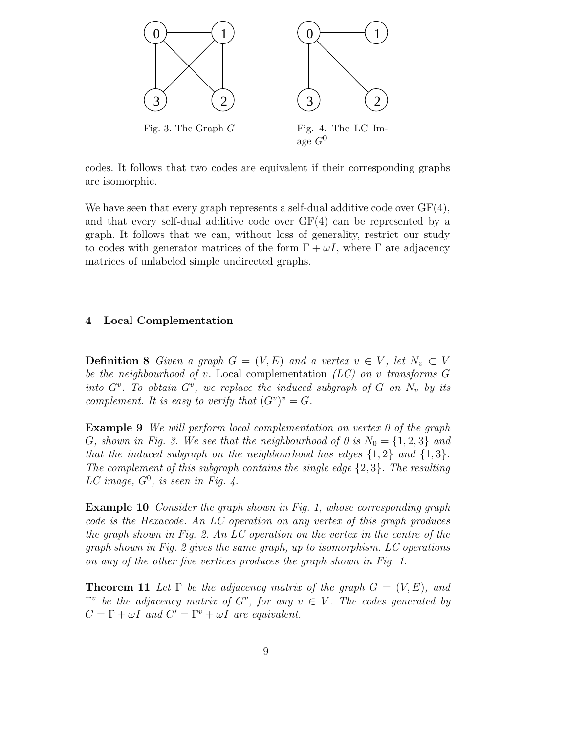

codes. It follows that two codes are equivalent if their corresponding graphs are isomorphic.

We have seen that every graph represents a self-dual additive code over  $GF(4)$ , and that every self-dual additive code over  $GF(4)$  can be represented by a graph. It follows that we can, without loss of generality, restrict our study to codes with generator matrices of the form  $\Gamma + \omega I$ , where  $\Gamma$  are adjacency matrices of unlabeled simple undirected graphs.

## 4 Local Complementation

**Definition 8** Given a graph  $G = (V, E)$  and a vertex  $v \in V$ , let  $N_v \subset V$ be the neighbourhood of v. Local complementation  $(LC)$  on v transforms G into  $G^v$ . To obtain  $G^v$ , we replace the induced subgraph of  $G$  on  $N_v$  by its complement. It is easy to verify that  $(G^v)^v = G$ .

**Example 9** We will perform local complementation on vertex  $\theta$  of the graph G, shown in Fig. 3. We see that the neighbourhood of 0 is  $N_0 = \{1, 2, 3\}$  and that the induced subgraph on the neighbourhood has edges  $\{1,2\}$  and  $\{1,3\}$ . The complement of this subgraph contains the single edge  $\{2,3\}$ . The resulting LC image,  $G^0$ , is seen in Fig. 4.

Example 10 Consider the graph shown in Fig. 1, whose corresponding graph code is the Hexacode. An LC operation on any vertex of this graph produces the graph shown in Fig. 2. An LC operation on the vertex in the centre of the graph shown in Fig. 2 gives the same graph, up to isomorphism. LC operations on any of the other five vertices produces the graph shown in Fig. 1.

**Theorem 11** Let  $\Gamma$  be the adjacency matrix of the graph  $G = (V, E)$ , and  $\Gamma^v$  be the adjacency matrix of  $G^v$ , for any  $v \in V$ . The codes generated by  $C = \Gamma + \omega I$  and  $C' = \Gamma^v + \omega I$  are equivalent.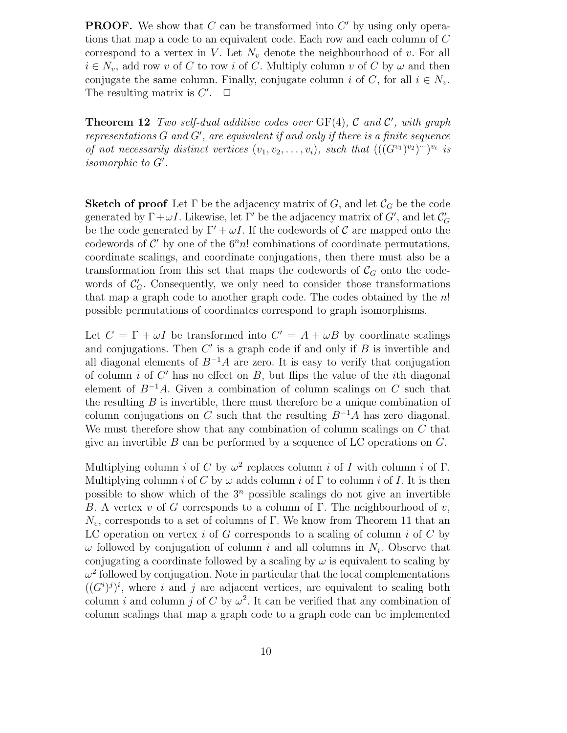**PROOF.** We show that  $C$  can be transformed into  $C'$  by using only operations that map a code to an equivalent code. Each row and each column of C correspond to a vertex in  $V$ . Let  $N_v$  denote the neighbourhood of v. For all  $i \in N_v$ , add row v of C to row i of C. Multiply column v of C by  $\omega$  and then conjugate the same column. Finally, conjugate column i of C, for all  $i \in N_v$ . The resulting matrix is  $C'$ .  $\Box$ 

**Theorem 12** Two self-dual additive codes over  $GF(4)$ , C and C', with graph representations  $G$  and  $G'$ , are equivalent if and only if there is a finite sequence of not necessarily distinct vertices  $(v_1, v_2, \ldots, v_i)$ , such that  $(((G^{v_1})^{v_2})^{w_1})^{v_i}$  is isomorphic to  $G'$ .

Sketch of proof Let  $\Gamma$  be the adjacency matrix of G, and let  $\mathcal{C}_G$  be the code generated by  $\Gamma + \omega I$ . Likewise, let  $\Gamma'$  be the adjacency matrix of  $G'$ , and let  $\mathcal{C}'_G$ be the code generated by  $\Gamma' + \omega I$ . If the codewords of C are mapped onto the codewords of  $\mathcal{C}'$  by one of the  $6<sup>n</sup>n!$  combinations of coordinate permutations, coordinate scalings, and coordinate conjugations, then there must also be a transformation from this set that maps the codewords of  $\mathcal{C}_G$  onto the codewords of  $\mathcal{C}_G'$ . Consequently, we only need to consider those transformations that map a graph code to another graph code. The codes obtained by the  $n!$ possible permutations of coordinates correspond to graph isomorphisms.

Let  $C = \Gamma + \omega I$  be transformed into  $C' = A + \omega B$  by coordinate scalings and conjugations. Then  $C'$  is a graph code if and only if  $B$  is invertible and all diagonal elements of  $B^{-1}A$  are zero. It is easy to verify that conjugation of column  $i$  of  $C'$  has no effect on  $B$ , but flips the value of the *i*th diagonal element of  $B^{-1}A$ . Given a combination of column scalings on C such that the resulting  $B$  is invertible, there must therefore be a unique combination of column conjugations on C such that the resulting  $B^{-1}A$  has zero diagonal. We must therefore show that any combination of column scalings on C that give an invertible  $B$  can be performed by a sequence of LC operations on  $G$ .

Multiplying column *i* of C by  $\omega^2$  replaces column *i* of I with column *i* of  $\Gamma$ . Multiplying column i of C by  $\omega$  adds column i of  $\Gamma$  to column i of I. It is then possible to show which of the  $3<sup>n</sup>$  possible scalings do not give an invertible B. A vertex v of G corresponds to a column of  $\Gamma$ . The neighbourhood of v,  $N_v$ , corresponds to a set of columns of Γ. We know from Theorem 11 that an LC operation on vertex  $i$  of  $G$  corresponds to a scaling of column  $i$  of  $C$  by  $\omega$  followed by conjugation of column i and all columns in  $N_i$ . Observe that conjugating a coordinate followed by a scaling by  $\omega$  is equivalent to scaling by  $\omega^2$  followed by conjugation. Note in particular that the local complementations  $((G<sup>i</sup>)<sup>j</sup>)<sup>i</sup>$ , where i and j are adjacent vertices, are equivalent to scaling both column *i* and column *j* of C by  $\omega^2$ . It can be verified that any combination of column scalings that map a graph code to a graph code can be implemented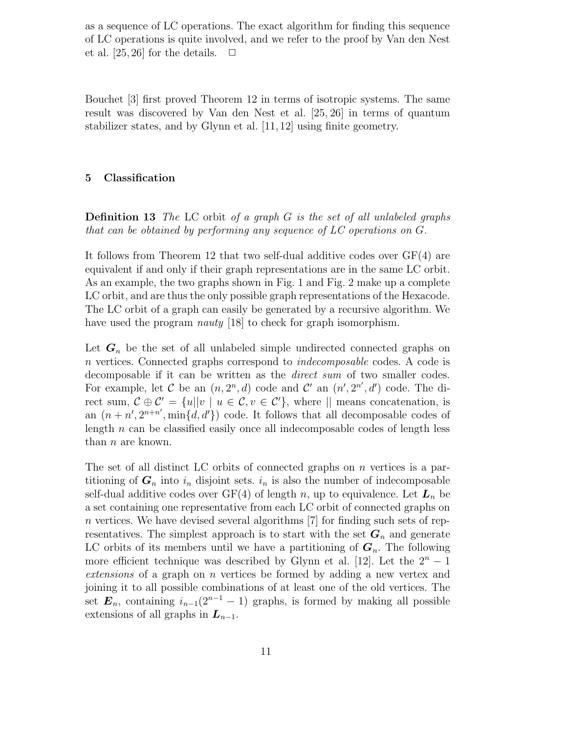as a sequence of LC operations. The exact algorithm for finding this sequence of LC operations is quite involved, and we refer to the proof by Van den Nest et al. [25, 26] for the details.  $\Box$ 

Bouchet [3] first proved Theorem 12 in terms of isotropic systems. The same result was discovered by Van den Nest et al. [25, 26] in terms of quantum stabilizer states, and by Glynn et al. [11, 12] using finite geometry.

#### 5 Classification

**Definition 13** The LC orbit of a graph G is the set of all unlabeled graphs that can be obtained by performing any sequence of LC operations on G.

It follows from Theorem 12 that two self-dual additive codes over GF(4) are equivalent if and only if their graph representations are in the same LC orbit. As an example, the two graphs shown in Fig. 1 and Fig. 2 make up a complete LC orbit, and are thus the only possible graph representations of the Hexacode. The LC orbit of a graph can easily be generated by a recursive algorithm. We have used the program *nauty* [18] to check for graph isomorphism.

Let  $G_n$  be the set of all unlabeled simple undirected connected graphs on n vertices. Connected graphs correspond to indecomposable codes. A code is decomposable if it can be written as the *direct sum* of two smaller codes. For example, let C be an  $(n, 2^n, d)$  code and C' an  $(n', 2^{n'}, d')$  code. The direct sum,  $\mathcal{C} \oplus \mathcal{C}' = \{u \mid |v| \mid u \in \mathcal{C}, v \in \mathcal{C}'\}$ , where  $||$  means concatenation, is an  $(n + n', 2^{n+n'}, \min\{d, d'\})$  code. It follows that all decomposable codes of length  $n$  can be classified easily once all indecomposable codes of length less than  $n$  are known.

The set of all distinct LC orbits of connected graphs on  $n$  vertices is a partitioning of  $G_n$  into  $i_n$  disjoint sets.  $i_n$  is also the number of indecomposable self-dual additive codes over  $GF(4)$  of length n, up to equivalence. Let  $L_n$  be a set containing one representative from each LC orbit of connected graphs on n vertices. We have devised several algorithms  $[7]$  for finding such sets of representatives. The simplest approach is to start with the set  $G_n$  and generate LC orbits of its members until we have a partitioning of  $G_n$ . The following more efficient technique was described by Glynn et al. [12]. Let the  $2<sup>n</sup> - 1$ extensions of a graph on n vertices be formed by adding a new vertex and joining it to all possible combinations of at least one of the old vertices. The set  $\mathbf{E}_n$ , containing  $i_{n-1}(2^{n-1}-1)$  graphs, is formed by making all possible extensions of all graphs in  $L_{n-1}$ .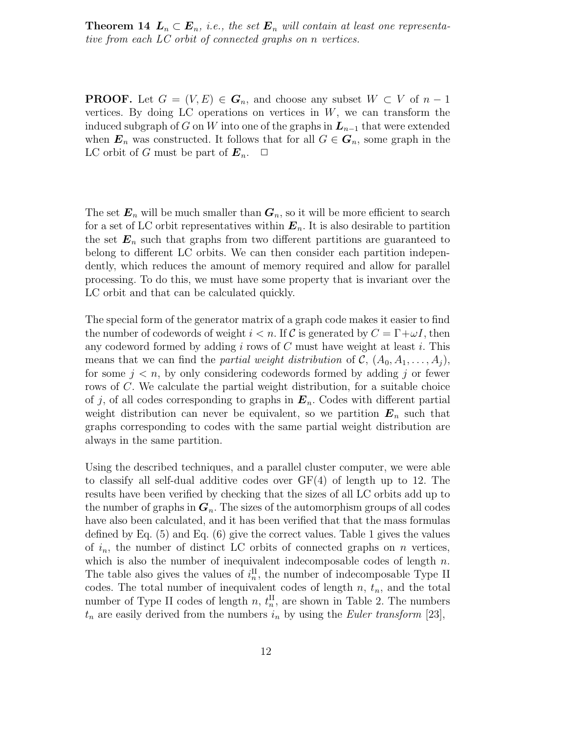**Theorem 14**  $L_n \subset E_n$ , i.e., the set  $E_n$  will contain at least one representative from each LC orbit of connected graphs on n vertices.

**PROOF.** Let  $G = (V, E) \in G_n$ , and choose any subset  $W \subset V$  of  $n-1$ vertices. By doing LC operations on vertices in  $W$ , we can transform the induced subgraph of G on W into one of the graphs in  $L_{n-1}$  that were extended when  $\mathbf{E}_n$  was constructed. It follows that for all  $G \in \mathbf{G}_n$ , some graph in the LC orbit of G must be part of  $\mathbf{E}_n$ .  $\Box$ 

The set  $E_n$  will be much smaller than  $G_n$ , so it will be more efficient to search for a set of LC orbit representatives within  $E_n$ . It is also desirable to partition the set  $\mathbf{E}_n$  such that graphs from two different partitions are guaranteed to belong to different LC orbits. We can then consider each partition independently, which reduces the amount of memory required and allow for parallel processing. To do this, we must have some property that is invariant over the LC orbit and that can be calculated quickly.

The special form of the generator matrix of a graph code makes it easier to find the number of codewords of weight  $i < n$ . If C is generated by  $C = \Gamma + \omega I$ , then any codeword formed by adding i rows of  $C$  must have weight at least i. This means that we can find the *partial weight distribution* of  $\mathcal{C}, (\mathcal{A}_0, \mathcal{A}_1, \ldots, \mathcal{A}_i)$ , for some  $j < n$ , by only considering codewords formed by adding j or fewer rows of C. We calculate the partial weight distribution, for a suitable choice of j, of all codes corresponding to graphs in  $E_n$ . Codes with different partial weight distribution can never be equivalent, so we partition  $E_n$  such that graphs corresponding to codes with the same partial weight distribution are always in the same partition.

Using the described techniques, and a parallel cluster computer, we were able to classify all self-dual additive codes over GF(4) of length up to 12. The results have been verified by checking that the sizes of all LC orbits add up to the number of graphs in  $G_n$ . The sizes of the automorphism groups of all codes have also been calculated, and it has been verified that that the mass formulas defined by Eq.  $(5)$  and Eq.  $(6)$  give the correct values. Table 1 gives the values of  $i_n$ , the number of distinct LC orbits of connected graphs on n vertices, which is also the number of inequivalent indecomposable codes of length  $n$ . The table also gives the values of  $i_n^{\text{II}}$ , the number of indecomposable Type II codes. The total number of inequivalent codes of length  $n$ ,  $t_n$ , and the total number of Type II codes of length  $n, t_n^{\text{II}}$ , are shown in Table 2. The numbers  $t_n$  are easily derived from the numbers  $i_n$  by using the *Euler transform* [23],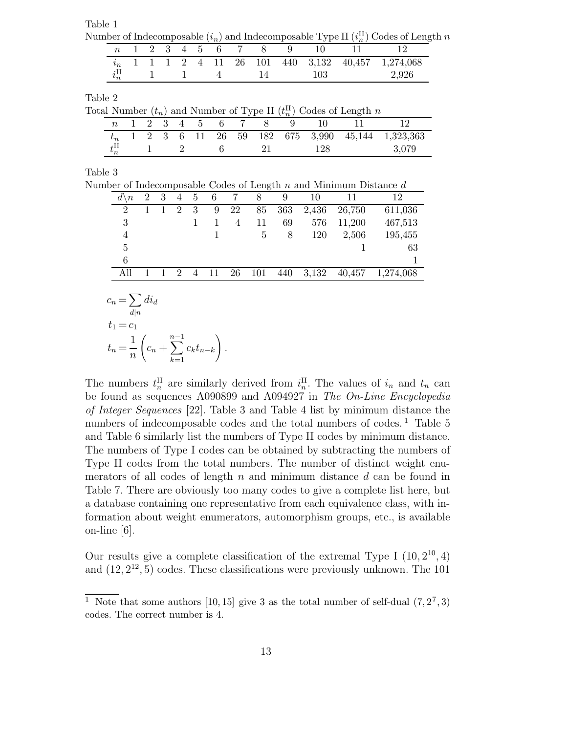Table 1

Number of Indecomposable  $(i_n)$  and Indecomposable Type II  $(i_n^{\text{II}})$  Codes of Length  $n$ 

|                |  |  |  | n 1 2 3 4 5 6 7 8 |  |     |                                                      |
|----------------|--|--|--|-------------------|--|-----|------------------------------------------------------|
|                |  |  |  |                   |  |     | $i_n$ 1 1 1 2 4 11 26 101 440 3,132 40,457 1,274,068 |
| $i_n^{\rm II}$ |  |  |  |                   |  | 103 | 2,926                                                |

Table 2

Total Number  $(t_n)$  and Number of Type II  $(t_n^{\text{II}})$  Codes of Length n

|  |  |  |  |  |                                | $\alpha$ cannot $\langle v_{ll} \rangle$ and radio $\alpha$ or $\pm$ ; point $\langle v_{ll} \rangle$ codes or Beigen $\alpha$ |                                                       |
|--|--|--|--|--|--------------------------------|--------------------------------------------------------------------------------------------------------------------------------|-------------------------------------------------------|
|  |  |  |  |  | n 1 2 3 4 5 6 7 8 9 10 11      |                                                                                                                                |                                                       |
|  |  |  |  |  |                                |                                                                                                                                | $t_n$ 1 2 3 6 11 26 59 182 675 3,990 45,144 1,323,363 |
|  |  |  |  |  | $t_n^{\text{II}}$ 1 2 6 21 128 | 3.079                                                                                                                          |                                                       |

Table 3

Number of Indecomposable Codes of Length n and Minimum Distance d

| $d^{\scriptscriptstyle \backslash}$<br>$\boldsymbol{n}$ | 2      | 3 | $\overline{4}$ | 5 | 6  |    | 8   | 9   | 10    | 11     | 12        |
|---------------------------------------------------------|--------|---|----------------|---|----|----|-----|-----|-------|--------|-----------|
| $\overline{2}$                                          |        |   | 2              | 3 | 9  | 22 | 85  | 363 | 2,436 | 26,750 | 611,036   |
| 3                                                       |        |   |                |   |    | 4  | 11  | 69  | 576   | 11,200 | 467,513   |
| 4                                                       |        |   |                |   |    |    | 5   | 8   | 120   | 2,506  | 195,455   |
| 5                                                       |        |   |                |   |    |    |     |     |       |        | 63        |
| 6                                                       |        |   |                |   |    |    |     |     |       |        |           |
| All                                                     |        |   | $\overline{2}$ | 4 | 11 | 26 | 101 | 440 | 3,132 | 40,457 | 1,274,068 |
|                                                         |        |   |                |   |    |    |     |     |       |        |           |
| $c_n = \sum$                                            | $di_a$ |   |                |   |    |    |     |     |       |        |           |

$$
c_n = \sum_{d|n} di_d
$$
  
\n
$$
t_1 = c_1
$$
  
\n
$$
t_n = \frac{1}{n} \left( c_n + \sum_{k=1}^{n-1} c_k t_{n-k} \right).
$$

The numbers  $t_n^{\text{II}}$  are similarly derived from  $i_n^{\text{II}}$ . The values of  $i_n$  and  $t_n$  can be found as sequences A090899 and A094927 in The On-Line Encyclopedia of Integer Sequences [22]. Table 3 and Table 4 list by minimum distance the numbers of indecomposable codes and the total numbers of codes.<sup>1</sup> Table  $5$ and Table 6 similarly list the numbers of Type II codes by minimum distance. The numbers of Type I codes can be obtained by subtracting the numbers of Type II codes from the total numbers. The number of distinct weight enumerators of all codes of length  $n$  and minimum distance  $d$  can be found in Table 7. There are obviously too many codes to give a complete list here, but a database containing one representative from each equivalence class, with information about weight enumerators, automorphism groups, etc., is available on-line [6].

Our results give a complete classification of the extremal Type I  $(10, 2^{10}, 4)$ and  $(12, 2^{12}, 5)$  codes. These classifications were previously unknown. The 101

<sup>&</sup>lt;sup>1</sup> Note that some authors [10, 15] give 3 as the total number of self-dual  $(7, 2^7, 3)$ codes. The correct number is 4.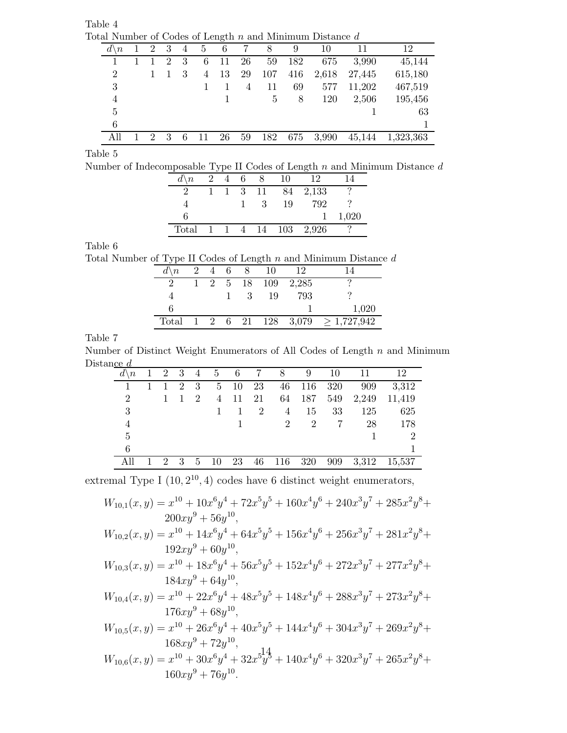Table 4 Total Number of Codes of Length n and Minimum Distance d

|                |                |                             |   |   | $\check{ }$ |    |     |     |       |        |           |
|----------------|----------------|-----------------------------|---|---|-------------|----|-----|-----|-------|--------|-----------|
| ď<br>$\, n$    | $\overline{2}$ | 3                           | 4 | 5 | 6           |    | 8   | 9   | 10    |        | 12        |
| 1              |                | $\mathcal{D}_{\mathcal{L}}$ | 3 | 6 | 11          | 26 | 59  | 182 | 675   | 3,990  | 45,144    |
| $\overline{2}$ |                |                             | 3 | 4 | 13          | 29 | 107 | 416 | 2,618 | 27,445 | 615,180   |
| 3              |                |                             |   |   |             | 4  | 11  | 69  | 577   | 11,202 | 467,519   |
| 4              |                |                             |   |   |             |    | 5   | 8   | 120   | 2,506  | 195,456   |
| 5              |                |                             |   |   |             |    |     |     |       |        | 63        |
| 6              |                |                             |   |   |             |    |     |     |       |        |           |
|                | $\Omega$       | 3                           |   |   | 26          | 59 | 182 | 675 | 3,990 | 45,144 | 1,323,363 |
|                |                |                             |   |   |             |    |     |     |       |        |           |

Table 5

Number of Indecomposable Type II Codes of Length  $n$  and Minimum Distance  $d$ 

| $d \backslash n$ | 2 | 4 | 6 |      | 10  | 12    | 14    |
|------------------|---|---|---|------|-----|-------|-------|
| റ                |   |   | 3 | - 11 | 84  | 2,133 |       |
|                  |   |   |   |      | 19  | 792   |       |
| 6                |   |   |   |      |     |       | 1,020 |
| Total            |   |   |   | 4 14 | 103 | 2,926 |       |
|                  |   |   |   |      |     |       |       |

## Table 6

Total Number of Type II Codes of Length  $n$  and Minimum Distance  $d$ 

|          |  | 4 6 8 | 10 | 12               |                                     |
|----------|--|-------|----|------------------|-------------------------------------|
| $\Omega$ |  |       |    | 2 5 18 109 2,285 |                                     |
|          |  |       | 19 | 793              |                                     |
|          |  |       |    |                  | 1,020                               |
| Total    |  |       |    |                  | 1 2 6 21 128 3,079 $\geq$ 1,727,942 |
|          |  |       |    |                  |                                     |

# Table 7

Number of Distinct Weight Enumerators of All Codes of Length  $n$  and Minimum Distance d

| $d \backslash n$            |                             |                |      | $1 \t2 \t3 \t4 \t5 \t6 \t7$ |      |                | 8   | 9   | 10  | 11    | 12            |
|-----------------------------|-----------------------------|----------------|------|-----------------------------|------|----------------|-----|-----|-----|-------|---------------|
|                             | 1                           | $\overline{2}$ | - 3  | 5                           | - 10 | 23             | 46  | 116 | 320 | 909   | 3,312         |
| $\mathcal{D}_{\mathcal{L}}$ |                             | $\mathbf{1}$   | - 2  | 4                           | -11  | 21             | 64  | 187 | 549 | 2,249 | 11,419        |
| 3                           |                             |                |      |                             |      | $\overline{2}$ | 4   | 15  | 33  | 125   | 625           |
| 4                           |                             |                |      |                             |      |                | 2   | 2   | 7   | 28    | 178           |
| 5                           |                             |                |      |                             |      |                |     |     |     |       | $\mathcal{D}$ |
| 6                           |                             |                |      |                             |      |                |     |     |     |       |               |
|                             | $\mathcal{D}_{\mathcal{L}}$ | 3 <sup>3</sup> | $-5$ | 10                          | 23   | 46             | 116 | 320 | 909 | 3,312 | 15,537        |

extremal Type I  $(10, 2^{10}, 4)$  codes have 6 distinct weight enumerators,

$$
W_{10,1}(x,y) = x^{10} + 10x^6y^4 + 72x^5y^5 + 160x^4y^6 + 240x^3y^7 + 285x^2y^8 + 200xy^9 + 56y^{10},
$$
  
\n
$$
W_{10,2}(x,y) = x^{10} + 14x^6y^4 + 64x^5y^5 + 156x^4y^6 + 256x^3y^7 + 281x^2y^8 + 192xy^9 + 60y^{10},
$$
  
\n
$$
W_{10,1}(x,y) = x^{10} + 18x^6y^4 + 56x^5y^5 + 159x^4y^6 + 272x^3y^7 + 277x^2y^8 + 192x^6y^6 + 159x^4y^6 + 272x^3y^7 + 277x^2y^8 + 192x^6y^6 + 272x^3y^7 + 277x^2y^8 + 192x^6y^6 + 272x^3y^7 + 277x^2y^8 + 192x^6y^7 + 277x^2y^8 + 192x^6y^7 + 277x^4y^8 + 192x^6y^7 + 277x^3y^8 + 192x^6y^7 + 192x^6y^7 + 192x^6y^7 + 192x^6y^7 + 192x^6y^7 + 192x^6y^7 + 192x^6y^7 + 192x^6y^7 + 192x^6y^7 + 192x^6y^7 + 192x^6y^7 + 192x^6y^7 + 192x^6y^7 + 192x^6y^7 + 192x^6y^7 + 192x^6y^7 + 192x^6y^7 + 192x^6y^7 + 192x^6y^7 + 192x^6y^7 + 192x^6y^7 + 192x^6y^7 + 192x^6y^7 + 192x^6y^7 + 192x^6y^7 + 192x^6y^7 + 192x^6y^7 + 192x^6y^7 + 192x^6y^
$$

$$
W_{10,3}(x,y) = x^{10} + 18x^6y^4 + 56x^5y^5 + 152x^4y^6 + 272x^3y^7 + 277x^2y^8 + 184xy^9 + 64y^{10},
$$

$$
W_{10,4}(x,y) = x^{10} + 22x^6y^4 + 48x^5y^5 + 148x^4y^6 + 288x^3y^7 + 273x^2y^8 + 176xy^9 + 68y^{10},
$$

$$
W_{10,5}(x,y) = x^{10} + 26x^6y^4 + 40x^5y^5 + 144x^4y^6 + 304x^3y^7 + 269x^2y^8 + 168xy^9 + 72y^{10},
$$

$$
W_{10,6}(x,y) = x^{10} + 30x^6y^4 + 32x^5y^5 + 140x^4y^6 + 320x^3y^7 + 265x^2y^8 + 160xy^9 + 76y^{10}.
$$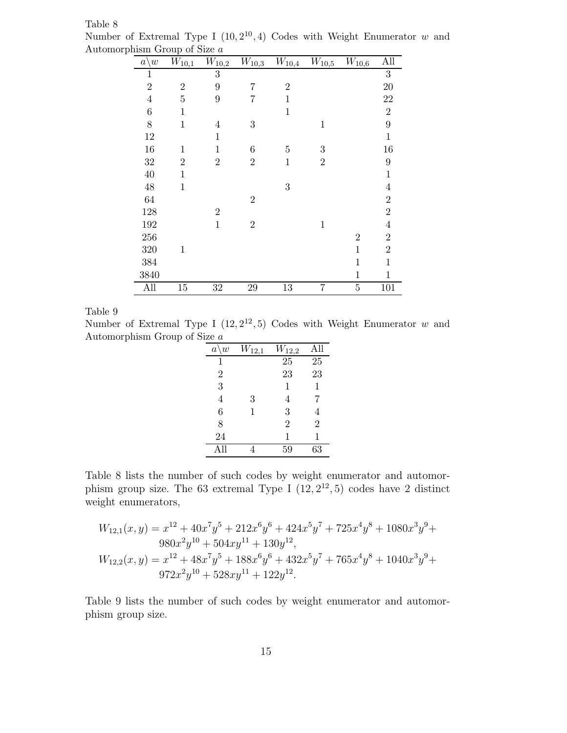|                  | $1101$ phism Group of Size $\mu$ |                |                |                  |                |                |                                  |
|------------------|----------------------------------|----------------|----------------|------------------|----------------|----------------|----------------------------------|
| $a \backslash w$ | $W_{10,1}$                       | $W_{10,2}$     | $W_{10,3}$     | $W_{10,4}$       | $W_{10,5}$     | $W_{10,6}$     | $\mathop{\mathrm{All}}\nolimits$ |
| 1                |                                  | 3              |                |                  |                |                | $\sqrt{3}$                       |
| $\overline{2}$   | $\overline{2}$                   | 9              | 7              | $\overline{2}$   |                |                | $20\,$                           |
| $\overline{4}$   | $\overline{5}$                   | 9              | $\overline{7}$ | $\mathbf{1}$     |                |                | 22                               |
| $\boldsymbol{6}$ | $\mathbf{1}$                     |                |                | $\mathbf{1}$     |                |                | $\sqrt{2}$                       |
| 8                | $\mathbf{1}$                     | $\overline{4}$ | 3              |                  | $\mathbf 1$    |                | $\boldsymbol{9}$                 |
| 12               |                                  | 1              |                |                  |                |                | $\mathbf{1}$                     |
| 16               | 1                                | 1              | $\overline{6}$ | $\overline{5}$   | 3              |                | 16                               |
| $32\,$           | $\overline{2}$                   | $\overline{2}$ | $\overline{2}$ | $\mathbf{1}$     | $\overline{2}$ |                | $\boldsymbol{9}$                 |
| 40               | $\mathbf{1}$                     |                |                |                  |                |                | $\mathbf{1}$                     |
| $48\,$           | $\mathbf{1}$                     |                |                | $\boldsymbol{3}$ |                |                | $\overline{4}$                   |
| 64               |                                  |                | $\overline{2}$ |                  |                |                | $\overline{2}$                   |
| 128              |                                  | $\overline{2}$ |                |                  |                |                | $\overline{2}$                   |
| 192              |                                  | $\mathbf{1}$   | $\overline{2}$ |                  | $\mathbf{1}$   |                | $\overline{4}$                   |
| 256              |                                  |                |                |                  |                | $\overline{2}$ | $\overline{2}$                   |
| 320              | $\mathbf{1}$                     |                |                |                  |                | $\mathbf{1}$   | $\overline{2}$                   |
| 384              |                                  |                |                |                  |                | $\mathbf{1}$   | $\mathbf{1}$                     |
| 3840             |                                  |                |                |                  |                | $\mathbf 1$    | $\mathbf{1}$                     |
| All              | $15\,$                           | $32\,$         | 29             | 13               | $\overline{7}$ | $\overline{5}$ | 101                              |

Table 8 Number of Extremal Type I  $(10, 2^{10}, 4)$  Codes with Weight Enumerator w and Automorphism Group of Size  $\alpha$ 

Table 9

Number of Extremal Type I  $(12, 2^{12}, 5)$  Codes with Weight Enumerator w and Automorphism Group of Size a

| $a \backslash w$ | $N_{12,1}$ | $W_{12,2}$     | All            |
|------------------|------------|----------------|----------------|
| 1                |            | 25             | 25             |
| $\overline{2}$   |            | 23             | 23             |
| 3                |            | 1              | 1              |
| 4                | 3          | 4              | 7              |
| 6                | 1          | 3              | 4              |
| 8                |            | $\overline{2}$ | $\overline{2}$ |
| 24               |            | 1              | 1              |
| A 11             |            | 59             | 63             |

Table 8 lists the number of such codes by weight enumerator and automorphism group size. The  $63$  extremal Type I  $(12, 2^{12}, 5)$  codes have 2 distinct weight enumerators,

$$
W_{12,1}(x,y) = x^{12} + 40x^7y^5 + 212x^6y^6 + 424x^5y^7 + 725x^4y^8 + 1080x^3y^9 + 980x^2y^{10} + 504xy^{11} + 130y^{12},
$$
  
\n
$$
W_{12,2}(x,y) = x^{12} + 48x^7y^5 + 188x^6y^6 + 432x^5y^7 + 765x^4y^8 + 1040x^3y^9 + 972x^2y^{10} + 528xy^{11} + 122y^{12}.
$$

Table 9 lists the number of such codes by weight enumerator and automorphism group size.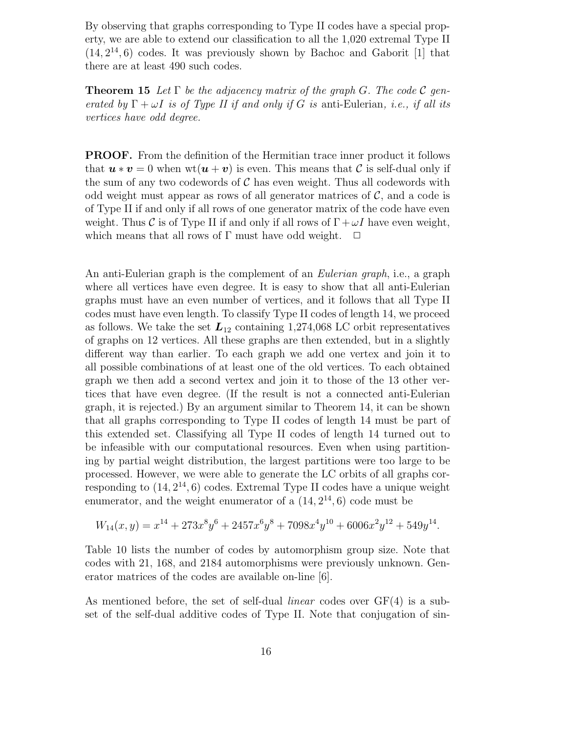By observing that graphs corresponding to Type II codes have a special property, we are able to extend our classification to all the 1,020 extremal Type II  $(14, 2^{14}, 6)$  codes. It was previously shown by Bachoc and Gaborit [1] that there are at least 490 such codes.

**Theorem 15** Let  $\Gamma$  be the adjacency matrix of the graph G. The code C generated by  $\Gamma + \omega I$  is of Type II if and only if G is anti-Eulerian, i.e., if all its vertices have odd degree.

PROOF. From the definition of the Hermitian trace inner product it follows that  $u * v = 0$  when wt $(u + v)$  is even. This means that C is self-dual only if the sum of any two codewords of  $C$  has even weight. Thus all codewords with odd weight must appear as rows of all generator matrices of  $\mathcal{C}$ , and a code is of Type II if and only if all rows of one generator matrix of the code have even weight. Thus C is of Type II if and only if all rows of  $\Gamma + \omega I$  have even weight, which means that all rows of  $\Gamma$  must have odd weight.  $\Box$ 

An anti-Eulerian graph is the complement of an *Eulerian graph*, i.e., a graph where all vertices have even degree. It is easy to show that all anti-Eulerian graphs must have an even number of vertices, and it follows that all Type II codes must have even length. To classify Type II codes of length 14, we proceed as follows. We take the set  $L_{12}$  containing 1,274,068 LC orbit representatives of graphs on 12 vertices. All these graphs are then extended, but in a slightly different way than earlier. To each graph we add one vertex and join it to all possible combinations of at least one of the old vertices. To each obtained graph we then add a second vertex and join it to those of the 13 other vertices that have even degree. (If the result is not a connected anti-Eulerian graph, it is rejected.) By an argument similar to Theorem 14, it can be shown that all graphs corresponding to Type II codes of length 14 must be part of this extended set. Classifying all Type II codes of length 14 turned out to be infeasible with our computational resources. Even when using partitioning by partial weight distribution, the largest partitions were too large to be processed. However, we were able to generate the LC orbits of all graphs corresponding to  $(14, 2^{14}, 6)$  codes. Extremal Type II codes have a unique weight enumerator, and the weight enumerator of a  $(14, 2^{14}, 6)$  code must be

$$
W_{14}(x,y) = x^{14} + 273x^8y^6 + 2457x^6y^8 + 7098x^4y^{10} + 6006x^2y^{12} + 549y^{14}.
$$

Table 10 lists the number of codes by automorphism group size. Note that codes with 21, 168, and 2184 automorphisms were previously unknown. Generator matrices of the codes are available on-line [6].

As mentioned before, the set of self-dual *linear* codes over  $GF(4)$  is a subset of the self-dual additive codes of Type II. Note that conjugation of sin-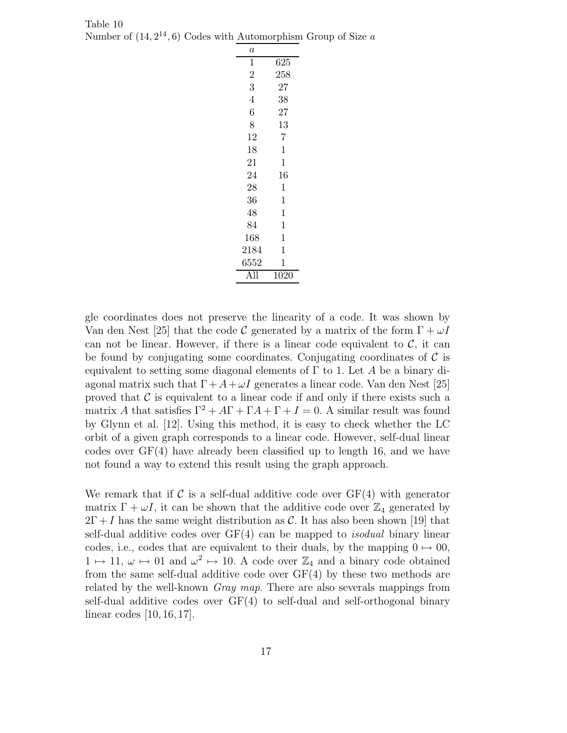| ↖<br>,<br>,<br>$\prime$ |                  | ÷              |
|-------------------------|------------------|----------------|
|                         | $\boldsymbol{a}$ |                |
|                         | $\mathbf{1}$     | 625            |
|                         | $\overline{2}$   | 258            |
|                         | 3                | $27\,$         |
|                         | $\overline{4}$   | 38             |
|                         | 6                | $27\,$         |
|                         | 8                | 13             |
|                         | 12               | $\overline{7}$ |
|                         | 18               | $\mathbf{1}$   |
|                         | 21               | $\mathbf 1$    |
|                         | 24               | 16             |
|                         | 28               | $\mathbf{1}$   |
|                         | 36               | $\mathbf{1}$   |
|                         | 48               | $\mathbf{1}$   |
|                         | 84               | $\mathbf{1}$   |
|                         | 168              | $\mathbf{1}$   |
|                         | 2184             | $\mathbf 1$    |
|                         | 6552             | $\mathbf{1}$   |

Table 10 Number of  $(14, 2^{14}, 6)$  Codes with Automorphism Group of Size a

gle coordinates does not preserve the linearity of a code. It was shown by Van den Nest [25] that the code C generated by a matrix of the form  $\Gamma + \omega I$ can not be linear. However, if there is a linear code equivalent to  $\mathcal{C}$ , it can be found by conjugating some coordinates. Conjugating coordinates of  $\mathcal C$  is equivalent to setting some diagonal elements of  $\Gamma$  to 1. Let A be a binary diagonal matrix such that  $\Gamma + A + \omega I$  generates a linear code. Van den Nest [25] proved that  $\mathcal C$  is equivalent to a linear code if and only if there exists such a matrix A that satisfies  $\Gamma^2 + A\Gamma + \Gamma A + \Gamma + I = 0$ . A similar result was found by Glynn et al. [12]. Using this method, it is easy to check whether the LC orbit of a given graph corresponds to a linear code. However, self-dual linear codes over  $GF(4)$  have already been classified up to length 16, and we have not found a way to extend this result using the graph approach.

All 1020

We remark that if C is a self-dual additive code over  $GF(4)$  with generator matrix  $\Gamma + \omega I$ , it can be shown that the additive code over  $\mathbb{Z}_4$  generated by  $2\Gamma + I$  has the same weight distribution as C. It has also been shown [19] that self-dual additive codes over  $GF(4)$  can be mapped to *isodual* binary linear codes, i.e., codes that are equivalent to their duals, by the mapping  $0 \mapsto 00$ ,  $1 \mapsto 11, \omega \mapsto 01$  and  $\omega^2 \mapsto 10$ . A code over  $\mathbb{Z}_4$  and a binary code obtained from the same self-dual additive code over  $GF(4)$  by these two methods are related by the well-known Gray map. There are also severals mappings from self-dual additive codes over GF(4) to self-dual and self-orthogonal binary linear codes [10, 16, 17].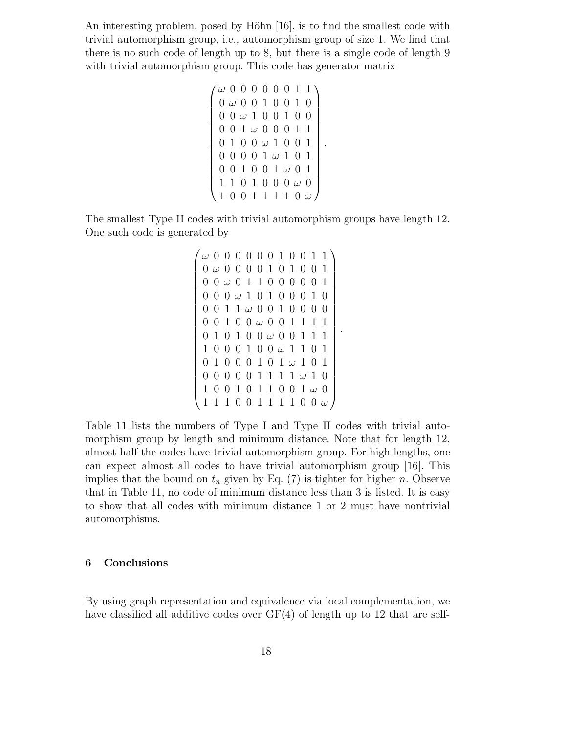An interesting problem, posed by Höhn  $[16]$ , is to find the smallest code with trivial automorphism group, i.e., automorphism group of size 1. We find that there is no such code of length up to 8, but there is a single code of length 9 with trivial automorphism group. This code has generator matrix

> $\sim 00000011$   $0 \omega 0 0 1 0 0 1 0$  $0 \t0 \t\omega 1 \t0 \t0 1 \t0 0$  $0\; 0\; 1\; \omega \; 0\; 0\; 0\; 1\; 1$  $0 1 0 0 \omega 1 0 0 1$  $0\; 0\; 0\; 0\; 1\; \omega\; 1\; 0\; 1$  $0\; 0\; 1\; 0\; 0\; 1\; \omega\; 0\; 1$  $1 1 0 1 0 0 0 \omega 0$  $1 0 0 1 1 1 1 0 \omega$  $\setminus$  $\begin{array}{c} \hline \end{array}$

.

.

The smallest Type II codes with trivial automorphism groups have length 12. One such code is generated by

> $\omega$  0 0 0 0 0 0 1 0 0 1 1  $0 \omega 0 0 0 0 1 0 1 0 0 1$  $0\,0\,\omega\,0\,1\,1\,0\,0\,0\,0\,0\,1$  $0\;0\;\omega\;1\;0\;1\;0\;0\;0\;1\;0$  $0\; 0\; 1\; 1\; \omega \; 0\; 0\; 1\; 0\; 0\; 0\; 0$  $0\;0\;1\;0\;0\;\omega\;0\;0\;1\;1\;1\;1$  $0 1 0 1 0 0 \omega 0 0 1 1 1$  $1\;0\;0\;0\;1\;0\;0\;\omega\;1\;1\;0\;1$  $0 1 0 0 0 1 0 1 \omega 1 0 1$  $0\; 0\; 0\; 0\; 0\; 1\; 1\; 1\; 1\; \omega\; 1\; 0$  $1\;0\;0\;1\;0\;1\;1\;0\;0\;1\;\omega\;0$  $1\; 1\; 1\; 0\; 0\; 1\; 1\; 1\; 1\; 0\; 0\; \omega$  $\setminus$

Table 11 lists the numbers of Type I and Type II codes with trivial automorphism group by length and minimum distance. Note that for length 12, almost half the codes have trivial automorphism group. For high lengths, one can expect almost all codes to have trivial automorphism group [16]. This implies that the bound on  $t_n$  given by Eq. (7) is tighter for higher n. Observe that in Table 11, no code of minimum distance less than 3 is listed. It is easy to show that all codes with minimum distance 1 or 2 must have nontrivial automorphisms.

#### 6 Conclusions

By using graph representation and equivalence via local complementation, we have classified all additive codes over  $GF(4)$  of length up to 12 that are self-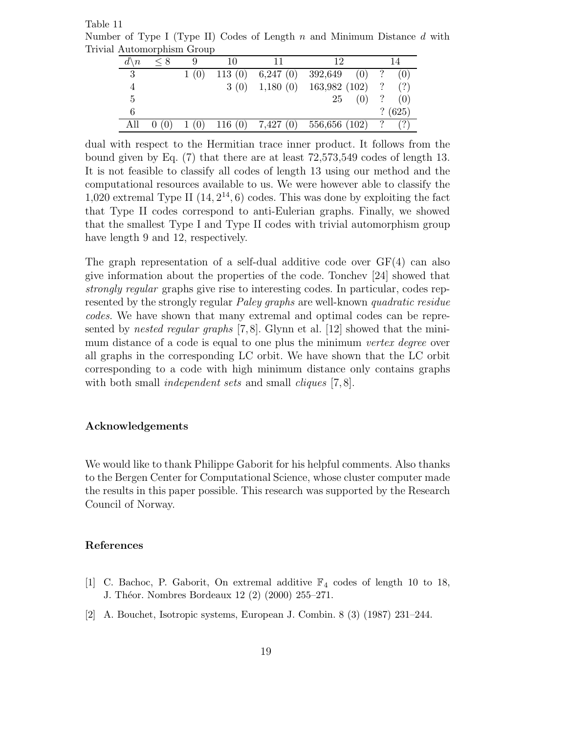Table 11 Number of Type I (Type II) Codes of Length n and Minimum Distance d with Trivial Automorphism Group

| $d \setminus n$ | < 8 |     | 10     | 11       | 19             |         |
|-----------------|-----|-----|--------|----------|----------------|---------|
| 3               |     |     | 113(0) | 6,247(0) | 392,649<br>(0) | (0)     |
| 4               |     |     | 3(0)   | 1,180(0) | 163,982 (102)  | (?)     |
| 5               |     |     |        |          | 25             | (0)     |
| 6               |     |     |        |          |                | (625)   |
|                 |     | (0) | 116(0) | 7,427(0) | 556,656 (102)  | ົາ<br>? |

dual with respect to the Hermitian trace inner product. It follows from the bound given by Eq. (7) that there are at least 72,573,549 codes of length 13. It is not feasible to classify all codes of length 13 using our method and the computational resources available to us. We were however able to classify the 1,020 extremal Type II  $(14, 2^{14}, 6)$  codes. This was done by exploiting the fact that Type II codes correspond to anti-Eulerian graphs. Finally, we showed that the smallest Type I and Type II codes with trivial automorphism group have length 9 and 12, respectively.

The graph representation of a self-dual additive code over  $GF(4)$  can also give information about the properties of the code. Tonchev [24] showed that strongly regular graphs give rise to interesting codes. In particular, codes represented by the strongly regular *Paley graphs* are well-known *quadratic residue* codes. We have shown that many extremal and optimal codes can be represented by nested regular graphs [7, 8]. Glynn et al. [12] showed that the minimum distance of a code is equal to one plus the minimum vertex degree over all graphs in the corresponding LC orbit. We have shown that the LC orbit corresponding to a code with high minimum distance only contains graphs with both small *independent sets* and small *cliques* [7,8].

## Acknowledgements

We would like to thank Philippe Gaborit for his helpful comments. Also thanks to the Bergen Center for Computational Science, whose cluster computer made the results in this paper possible. This research was supported by the Research Council of Norway.

#### References

- [1] C. Bachoc, P. Gaborit, On extremal additive  $\mathbb{F}_4$  codes of length 10 to 18, J. Théor. Nombres Bordeaux 12 (2) (2000) 255–271.
- [2] A. Bouchet, Isotropic systems, European J. Combin. 8 (3) (1987) 231–244.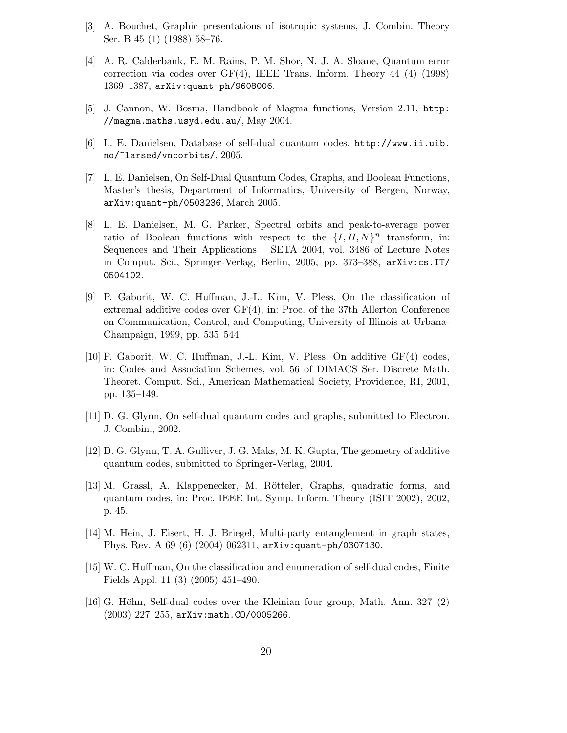- [3] A. Bouchet, Graphic presentations of isotropic systems, J. Combin. Theory Ser. B 45 (1) (1988) 58–76.
- [4] A. R. Calderbank, E. M. Rains, P. M. Shor, N. J. A. Sloane, Quantum error correction via codes over GF(4), IEEE Trans. Inform. Theory 44 (4) (1998) 1369–1387, arXiv:quant-ph/9608006.
- [5] J. Cannon, W. Bosma, Handbook of Magma functions, Version 2.11, http: //magma.maths.usyd.edu.au/, May 2004.
- [6] L. E. Danielsen, Database of self-dual quantum codes, http://www.ii.uib. no/~larsed/vncorbits/, 2005.
- [7] L. E. Danielsen, On Self-Dual Quantum Codes, Graphs, and Boolean Functions, Master's thesis, Department of Informatics, University of Bergen, Norway, arXiv:quant-ph/0503236, March 2005.
- [8] L. E. Danielsen, M. G. Parker, Spectral orbits and peak-to-average power ratio of Boolean functions with respect to the  $\{I, H, N\}^n$  transform, in: Sequences and Their Applications – SETA 2004, vol. 3486 of Lecture Notes in Comput. Sci., Springer-Verlag, Berlin, 2005, pp. 373–388, arXiv:cs.IT/ 0504102.
- [9] P. Gaborit, W. C. Huffman, J.-L. Kim, V. Pless, On the classification of extremal additive codes over GF(4), in: Proc. of the 37th Allerton Conference on Communication, Control, and Computing, University of Illinois at Urbana-Champaign, 1999, pp. 535–544.
- [10] P. Gaborit, W. C. Huffman, J.-L. Kim, V. Pless, On additive GF(4) codes, in: Codes and Association Schemes, vol. 56 of DIMACS Ser. Discrete Math. Theoret. Comput. Sci., American Mathematical Society, Providence, RI, 2001, pp. 135–149.
- [11] D. G. Glynn, On self-dual quantum codes and graphs, submitted to Electron. J. Combin., 2002.
- [12] D. G. Glynn, T. A. Gulliver, J. G. Maks, M. K. Gupta, The geometry of additive quantum codes, submitted to Springer-Verlag, 2004.
- [13] M. Grassl, A. Klappenecker, M. Rötteler, Graphs, quadratic forms, and quantum codes, in: Proc. IEEE Int. Symp. Inform. Theory (ISIT 2002), 2002, p. 45.
- [14] M. Hein, J. Eisert, H. J. Briegel, Multi-party entanglement in graph states, Phys. Rev. A 69 (6) (2004) 062311, arXiv:quant-ph/0307130.
- [15] W. C. Huffman, On the classification and enumeration of self-dual codes, Finite Fields Appl. 11 (3) (2005) 451–490.
- [16] G. Höhn, Self-dual codes over the Kleinian four group, Math. Ann.  $327$  (2) (2003) 227–255, arXiv:math.CO/0005266.